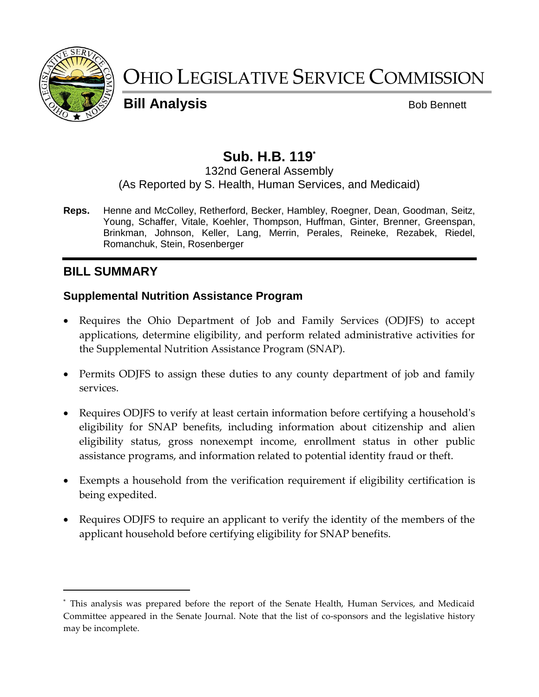

# OHIO LEGISLATIVE SERVICE COMMISSION

**Bill Analysis** Bob Bennett

# **Sub. H.B. 119\***

# 132nd General Assembly

(As Reported by S. Health, Human Services, and Medicaid)

**Reps.** Henne and McColley, Retherford, Becker, Hambley, Roegner, Dean, Goodman, Seitz, Young, Schaffer, Vitale, Koehler, Thompson, Huffman, Ginter, Brenner, Greenspan, Brinkman, Johnson, Keller, Lang, Merrin, Perales, Reineke, Rezabek, Riedel, Romanchuk, Stein, Rosenberger

# **BILL SUMMARY**

l

#### **Supplemental Nutrition Assistance Program**

- Requires the Ohio Department of Job and Family Services (ODJFS) to accept applications, determine eligibility, and perform related administrative activities for the Supplemental Nutrition Assistance Program (SNAP).
- Permits ODJFS to assign these duties to any county department of job and family services.
- Requires ODJFS to verify at least certain information before certifying a household's eligibility for SNAP benefits, including information about citizenship and alien eligibility status, gross nonexempt income, enrollment status in other public assistance programs, and information related to potential identity fraud or theft.
- Exempts a household from the verification requirement if eligibility certification is being expedited.
- Requires ODJFS to require an applicant to verify the identity of the members of the applicant household before certifying eligibility for SNAP benefits.

<sup>\*</sup> This analysis was prepared before the report of the Senate Health, Human Services, and Medicaid Committee appeared in the Senate Journal. Note that the list of co-sponsors and the legislative history may be incomplete.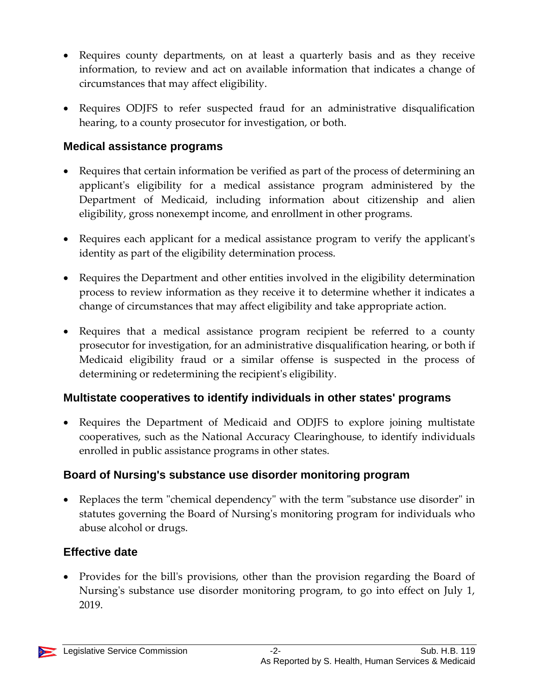- Requires county departments, on at least a quarterly basis and as they receive information, to review and act on available information that indicates a change of circumstances that may affect eligibility.
- Requires ODJFS to refer suspected fraud for an administrative disqualification hearing, to a county prosecutor for investigation, or both.

### **Medical assistance programs**

- Requires that certain information be verified as part of the process of determining an applicant's eligibility for a medical assistance program administered by the Department of Medicaid, including information about citizenship and alien eligibility, gross nonexempt income, and enrollment in other programs.
- Requires each applicant for a medical assistance program to verify the applicant's identity as part of the eligibility determination process.
- Requires the Department and other entities involved in the eligibility determination process to review information as they receive it to determine whether it indicates a change of circumstances that may affect eligibility and take appropriate action.
- Requires that a medical assistance program recipient be referred to a county prosecutor for investigation, for an administrative disqualification hearing, or both if Medicaid eligibility fraud or a similar offense is suspected in the process of determining or redetermining the recipient's eligibility.

# **Multistate cooperatives to identify individuals in other states' programs**

• Requires the Department of Medicaid and ODJFS to explore joining multistate cooperatives, such as the National Accuracy Clearinghouse, to identify individuals enrolled in public assistance programs in other states.

# **Board of Nursing's substance use disorder monitoring program**

 Replaces the term "chemical dependency" with the term "substance use disorder" in statutes governing the Board of Nursing's monitoring program for individuals who abuse alcohol or drugs.

# **Effective date**

• Provides for the bill's provisions, other than the provision regarding the Board of Nursing's substance use disorder monitoring program, to go into effect on July 1, 2019.

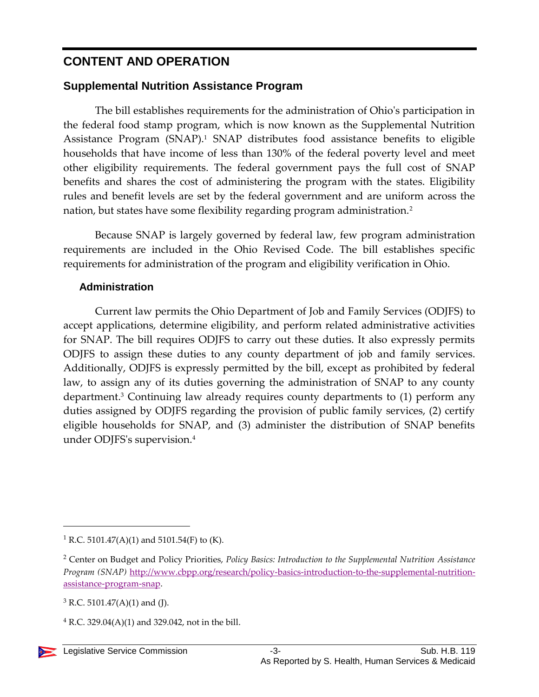# **CONTENT AND OPERATION**

# **Supplemental Nutrition Assistance Program**

The bill establishes requirements for the administration of Ohio's participation in the federal food stamp program, which is now known as the Supplemental Nutrition Assistance Program (SNAP).<sup>1</sup> SNAP distributes food assistance benefits to eligible households that have income of less than 130% of the federal poverty level and meet other eligibility requirements. The federal government pays the full cost of SNAP benefits and shares the cost of administering the program with the states. Eligibility rules and benefit levels are set by the federal government and are uniform across the nation, but states have some flexibility regarding program administration.<sup>2</sup>

Because SNAP is largely governed by federal law, few program administration requirements are included in the Ohio Revised Code. The bill establishes specific requirements for administration of the program and eligibility verification in Ohio.

#### **Administration**

Current law permits the Ohio Department of Job and Family Services (ODJFS) to accept applications, determine eligibility, and perform related administrative activities for SNAP. The bill requires ODJFS to carry out these duties. It also expressly permits ODJFS to assign these duties to any county department of job and family services. Additionally, ODJFS is expressly permitted by the bill, except as prohibited by federal law, to assign any of its duties governing the administration of SNAP to any county department.<sup>3</sup> Continuing law already requires county departments to (1) perform any duties assigned by ODJFS regarding the provision of public family services, (2) certify eligible households for SNAP, and (3) administer the distribution of SNAP benefits under ODJFS's supervision.<sup>4</sup>

l

<sup>&</sup>lt;sup>1</sup> R.C. 5101.47(A)(1) and 5101.54(F) to (K).

<sup>2</sup> Center on Budget and Policy Priorities, *Policy Basics: Introduction to the Supplemental Nutrition Assistance Program (SNAP)* [http://www.cbpp.org/research/policy-basics-introduction-to-the-supplemental-nutrition](http://www.cbpp.org/research/policy-basics-introduction-to-the-supplemental-nutrition-assistance-program-snap)[assistance-program-snap.](http://www.cbpp.org/research/policy-basics-introduction-to-the-supplemental-nutrition-assistance-program-snap)

 $3$  R.C. 5101.47(A)(1) and (J).

 $4$  R.C. 329.04(A)(1) and 329.042, not in the bill.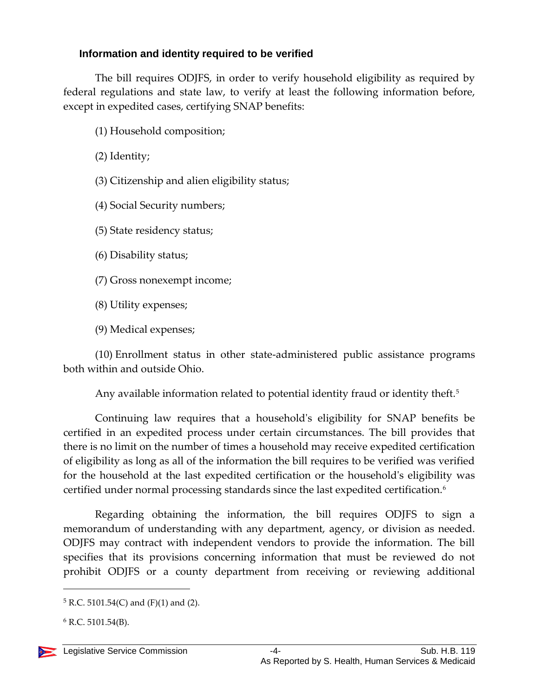#### **Information and identity required to be verified**

The bill requires ODJFS, in order to verify household eligibility as required by federal regulations and state law, to verify at least the following information before, except in expedited cases, certifying SNAP benefits:

- (1) Household composition;
- (2) Identity;
- (3) Citizenship and alien eligibility status;
- (4) Social Security numbers;
- (5) State residency status;
- (6) Disability status;
- (7) Gross nonexempt income;
- (8) Utility expenses;
- (9) Medical expenses;

(10) Enrollment status in other state-administered public assistance programs both within and outside Ohio.

Any available information related to potential identity fraud or identity theft.<sup>5</sup>

Continuing law requires that a household's eligibility for SNAP benefits be certified in an expedited process under certain circumstances. The bill provides that there is no limit on the number of times a household may receive expedited certification of eligibility as long as all of the information the bill requires to be verified was verified for the household at the last expedited certification or the household's eligibility was certified under normal processing standards since the last expedited certification.<sup>6</sup>

Regarding obtaining the information, the bill requires ODJFS to sign a memorandum of understanding with any department, agency, or division as needed. ODJFS may contract with independent vendors to provide the information. The bill specifies that its provisions concerning information that must be reviewed do not prohibit ODJFS or a county department from receiving or reviewing additional

 $6$  R.C. 5101.54(B).



l

 $5 R.C. 5101.54(C)$  and (F)(1) and (2).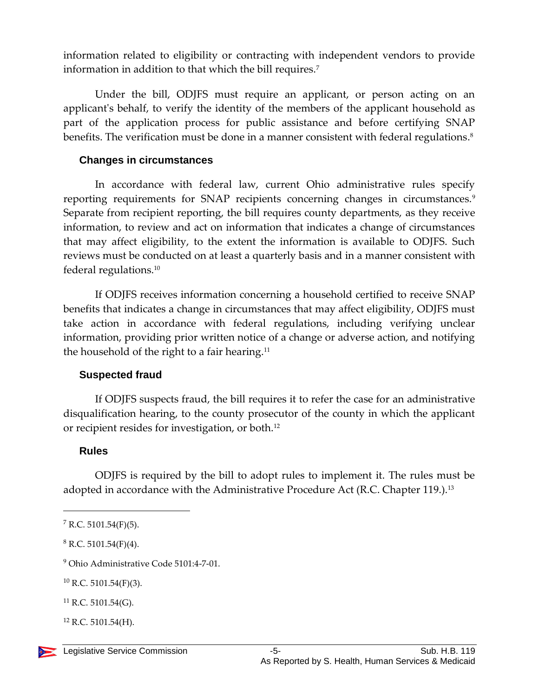information related to eligibility or contracting with independent vendors to provide information in addition to that which the bill requires.<sup>7</sup>

Under the bill, ODJFS must require an applicant, or person acting on an applicant's behalf, to verify the identity of the members of the applicant household as part of the application process for public assistance and before certifying SNAP benefits. The verification must be done in a manner consistent with federal regulations. 8

#### **Changes in circumstances**

In accordance with federal law, current Ohio administrative rules specify reporting requirements for SNAP recipients concerning changes in circumstances.<sup>9</sup> Separate from recipient reporting, the bill requires county departments, as they receive information, to review and act on information that indicates a change of circumstances that may affect eligibility, to the extent the information is available to ODJFS. Such reviews must be conducted on at least a quarterly basis and in a manner consistent with federal regulations.<sup>10</sup>

If ODJFS receives information concerning a household certified to receive SNAP benefits that indicates a change in circumstances that may affect eligibility, ODJFS must take action in accordance with federal regulations, including verifying unclear information, providing prior written notice of a change or adverse action, and notifying the household of the right to a fair hearing.<sup>11</sup>

#### **Suspected fraud**

If ODJFS suspects fraud, the bill requires it to refer the case for an administrative disqualification hearing, to the county prosecutor of the county in which the applicant or recipient resides for investigation, or both.<sup>12</sup>

#### **Rules**

ODJFS is required by the bill to adopt rules to implement it. The rules must be adopted in accordance with the Administrative Procedure Act (R.C. Chapter 119.).<sup>13</sup>

l

 $7$  R.C. 5101.54(F)(5).

 $8$  R.C. 5101.54(F)(4).

<sup>9</sup> Ohio Administrative Code 5101:4-7-01.

 $10$  R.C. 5101.54(F)(3).

 $^{11}$  R.C. 5101.54(G).

 $12$  R.C. 5101.54(H).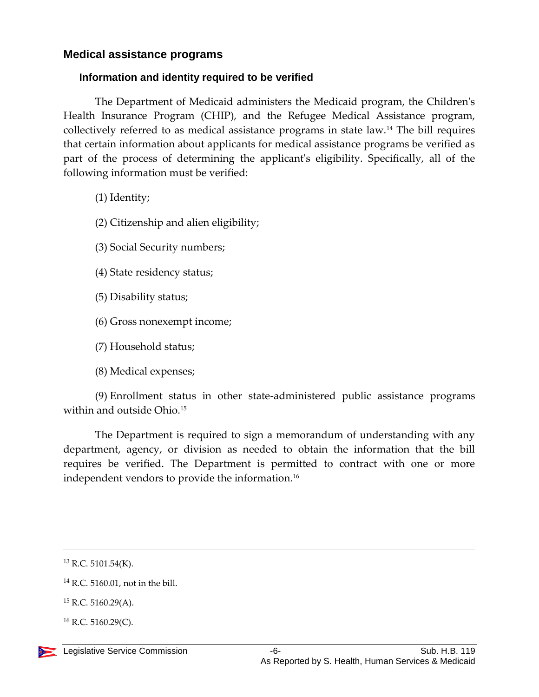#### **Medical assistance programs**

#### **Information and identity required to be verified**

The Department of Medicaid administers the Medicaid program, the Children's Health Insurance Program (CHIP), and the Refugee Medical Assistance program, collectively referred to as medical assistance programs in state law.<sup>14</sup> The bill requires that certain information about applicants for medical assistance programs be verified as part of the process of determining the applicant's eligibility. Specifically, all of the following information must be verified:

(1) Identity;

(2) Citizenship and alien eligibility;

(3) Social Security numbers;

(4) State residency status;

- (5) Disability status;
- (6) Gross nonexempt income;
- (7) Household status;
- (8) Medical expenses;

(9) Enrollment status in other state-administered public assistance programs within and outside Ohio.<sup>15</sup>

The Department is required to sign a memorandum of understanding with any department, agency, or division as needed to obtain the information that the bill requires be verified. The Department is permitted to contract with one or more independent vendors to provide the information.<sup>16</sup>

 $\overline{a}$ 

 $13$  R.C. 5101.54(K).

<sup>14</sup> R.C. 5160.01, not in the bill.

<sup>15</sup> R.C. 5160.29(A).

 $^{16}$  R.C. 5160.29(C).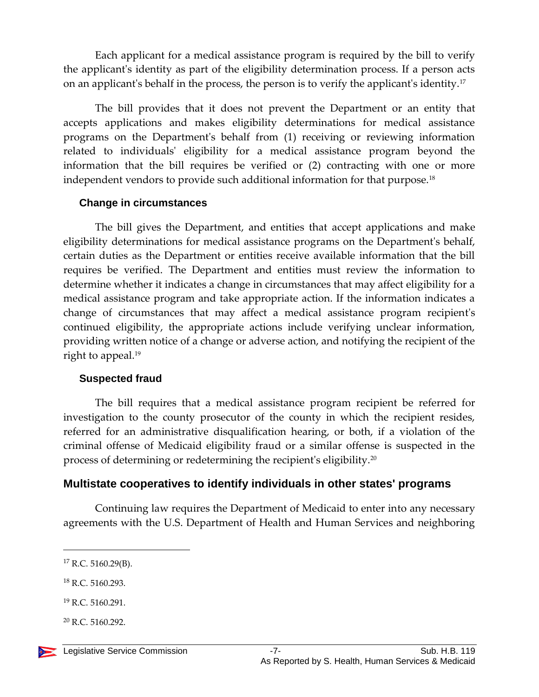Each applicant for a medical assistance program is required by the bill to verify the applicant's identity as part of the eligibility determination process. If a person acts on an applicant's behalf in the process, the person is to verify the applicant's identity.<sup>17</sup>

The bill provides that it does not prevent the Department or an entity that accepts applications and makes eligibility determinations for medical assistance programs on the Department's behalf from (1) receiving or reviewing information related to individuals' eligibility for a medical assistance program beyond the information that the bill requires be verified or (2) contracting with one or more independent vendors to provide such additional information for that purpose.<sup>18</sup>

#### **Change in circumstances**

The bill gives the Department, and entities that accept applications and make eligibility determinations for medical assistance programs on the Department's behalf, certain duties as the Department or entities receive available information that the bill requires be verified. The Department and entities must review the information to determine whether it indicates a change in circumstances that may affect eligibility for a medical assistance program and take appropriate action. If the information indicates a change of circumstances that may affect a medical assistance program recipient's continued eligibility, the appropriate actions include verifying unclear information, providing written notice of a change or adverse action, and notifying the recipient of the right to appeal.<sup>19</sup>

#### **Suspected fraud**

The bill requires that a medical assistance program recipient be referred for investigation to the county prosecutor of the county in which the recipient resides, referred for an administrative disqualification hearing, or both, if a violation of the criminal offense of Medicaid eligibility fraud or a similar offense is suspected in the process of determining or redetermining the recipient's eligibility.<sup>20</sup>

#### **Multistate cooperatives to identify individuals in other states' programs**

Continuing law requires the Department of Medicaid to enter into any necessary agreements with the U.S. Department of Health and Human Services and neighboring

 $\overline{a}$ 

<sup>17</sup> R.C. 5160.29(B).

<sup>18</sup> R.C. 5160.293.

<sup>19</sup> R.C. 5160.291.

 $20$  R.C. 5160.292.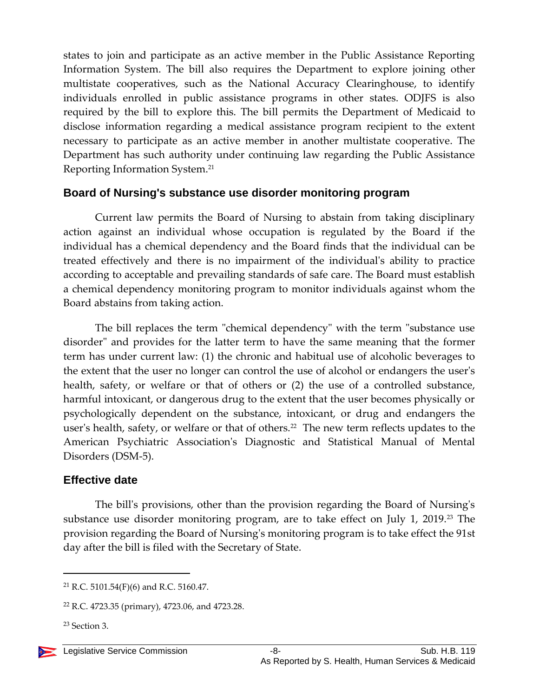states to join and participate as an active member in the Public Assistance Reporting Information System. The bill also requires the Department to explore joining other multistate cooperatives, such as the National Accuracy Clearinghouse, to identify individuals enrolled in public assistance programs in other states. ODJFS is also required by the bill to explore this. The bill permits the Department of Medicaid to disclose information regarding a medical assistance program recipient to the extent necessary to participate as an active member in another multistate cooperative. The Department has such authority under continuing law regarding the Public Assistance Reporting Information System.<sup>21</sup>

#### **Board of Nursing's substance use disorder monitoring program**

Current law permits the Board of Nursing to abstain from taking disciplinary action against an individual whose occupation is regulated by the Board if the individual has a chemical dependency and the Board finds that the individual can be treated effectively and there is no impairment of the individual's ability to practice according to acceptable and prevailing standards of safe care. The Board must establish a chemical dependency monitoring program to monitor individuals against whom the Board abstains from taking action.

The bill replaces the term "chemical dependency" with the term "substance use disorder" and provides for the latter term to have the same meaning that the former term has under current law: (1) the chronic and habitual use of alcoholic beverages to the extent that the user no longer can control the use of alcohol or endangers the user's health, safety, or welfare or that of others or  $(2)$  the use of a controlled substance, harmful intoxicant, or dangerous drug to the extent that the user becomes physically or psychologically dependent on the substance, intoxicant, or drug and endangers the user's health, safety, or welfare or that of others.<sup>22</sup> The new term reflects updates to the American Psychiatric Association's Diagnostic and Statistical Manual of Mental Disorders (DSM-5).

#### **Effective date**

The bill's provisions, other than the provision regarding the Board of Nursing's substance use disorder monitoring program, are to take effect on July 1, 2019.<sup>23</sup> The provision regarding the Board of Nursing's monitoring program is to take effect the 91st day after the bill is filed with the Secretary of State.

 $\overline{a}$ 

<sup>21</sup> R.C. 5101.54(F)(6) and R.C. 5160.47.

<sup>22</sup> R.C. 4723.35 (primary), 4723.06, and 4723.28.

<sup>23</sup> Section 3.